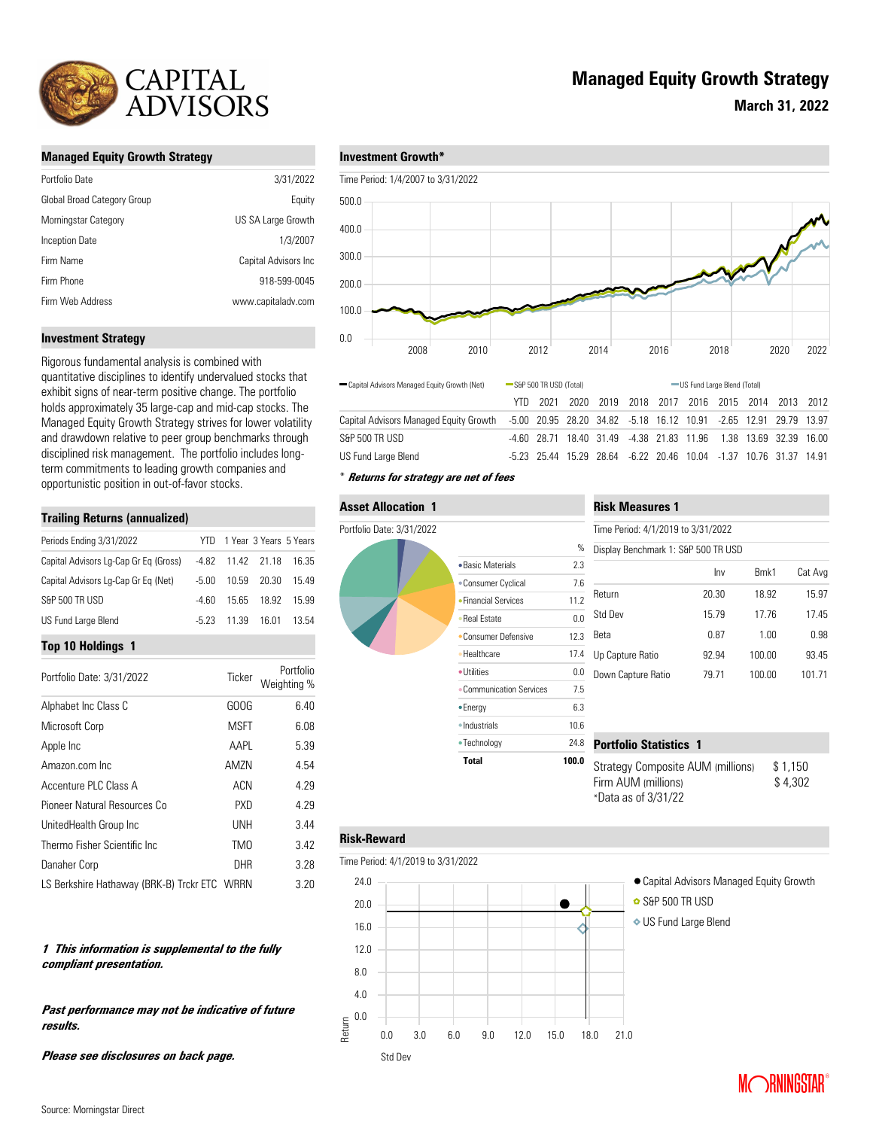

## **Managed Equity Growth Strategy**

| Portfolio Date              | 3/31/2022             |
|-----------------------------|-----------------------|
| Global Broad Category Group | Equity                |
| Morningstar Category        | US SA Large Growth    |
| Inception Date              | 1/3/2007              |
| Firm Name                   | Capital Advisors Inc. |
| Firm Phone                  | 918-599-0045          |
| Firm Web Address            | www.capitaladv.com    |
|                             |                       |

## **Investment Strategy**

Rigorous fundamental analysis is combined with quantitative disciplines to identify undervalued stocks that exhibit signs of near-term positive change. The portfolio holds approximately 35 large-cap and mid-cap stocks. The Managed Equity Growth Strategy strives for lower volatility and drawdown relative to peer group benchmarks through disciplined risk management. The portfolio includes longterm commitments to leading growth companies and opportunistic position in out-of-favor stocks.

## **Trailing Returns (annualized)**

| Periods Ending 3/31/2022              | YTD.    |       | 1 Year 3 Years 5 Years |       |
|---------------------------------------|---------|-------|------------------------|-------|
| Capital Advisors Lg-Cap Gr Eq (Gross) |         |       | -4.82 11.42 21.18      | 16.35 |
| Capital Advisors Lg-Cap Gr Eq (Net)   | $-5.00$ | 10.59 | 20.30                  | 15.49 |
| S&P 500 TR USD                        | -4 60   | 15.65 | 18.92                  | 15.99 |
| US Fund Large Blend                   | $-523$  | 11.39 | 16.01                  | 13.54 |
|                                       |         |       |                        |       |

## **Top 10 Holdings 1**

| Portfolio Date: 3/31/2022                    | Ticker          | Portfolio<br>Weighting % |
|----------------------------------------------|-----------------|--------------------------|
| Alphabet Inc Class C                         | GOOG            | 6.40                     |
| Microsoft Corp                               | <b>MSFT</b>     | 6.08                     |
| Apple Inc                                    | AAPL            | 5.39                     |
| Amazon.com Inc.                              | AM7N            | 4.54                     |
| Accenture PLC Class A                        | ACN             | 4.29                     |
| Pioneer Natural Resources Co                 | <b>PXD</b>      | 4.29                     |
| UnitedHealth Group Inc                       | <b>UNH</b>      | 3.44                     |
| Thermo Fisher Scientific Inc.                | TM <sub>0</sub> | 3.42                     |
| Danaher Corp                                 | <b>DHR</b>      | 3.28                     |
| LS Berkshire Hathaway (BRK-B) Trckr ETC WRRN |                 | 3.20                     |

## **1 This information is supplemental to the fully compliant presentation.**

**Past performance may not be indicative of future results.** 

**Please see disclosures on back page.**

## **Investment Growth\***



| YTD 2021 2020 2019 2018 2017 2016 2015 2014 2013 2012                                                    |
|----------------------------------------------------------------------------------------------------------|
| Capital Advisors Managed Equity Growth 45.00 20.95 28.20 34.82 -5.18 16.12 10.91 -2.65 12.91 29.79 13.97 |
| -4.60 28.71 18.40 31.49 -4.38 21.83 11.96 1.38 13.69 32.39 16.00                                         |
| -5.23 25.44 15.29 28.64 -6.22 20.46 10.04 -1.37 10.76 31.37 14.91                                        |
|                                                                                                          |

\* **Returns for strategy are net of fees**

#### Strategy Composite AUM (millions) \$1,150 Firm AUM (millions) \$ 4,302 \*Data as of 3/31/22 **Risk Measures 1** Time Period: 4/1/2019 to 3/31/2022 Display Benchmark 1: S&P 500 TR USD Inv Bmk1 Cat Avg Return Std Dev Beta Up Capture Ratio Down Capture Ratio 20.30 15.79 0.87 92.94 79.71 18.92 17.76 1.00 100.00 100.00 15.97 17.45 0.98 93.45 101.71 **Portfolio Statistics 1 Asset Allocation 1** Portfolio Date: 3/31/2022  $\%$ Basic Materials 2.3 Consumer Cyclical 7.6 Financial Services 11.2 Real Estate **0.0** Consumer Defensive 12.3 Healthcare 17.4 Utilities 0.0 Communication Services 7.5 Energy 6.3 Industrials 10.6 Technology 24.8 **Total 100.0**

## **Risk-Reward**



# **Managed Equity Growth Strategy**

# **March 31, 2022**